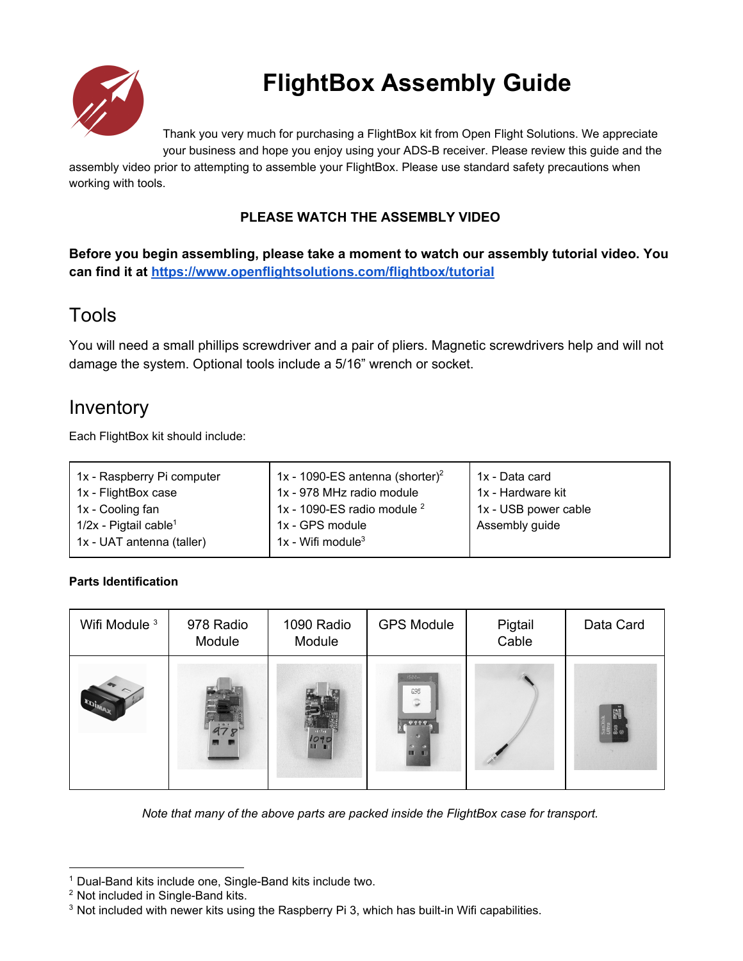

# **FlightBox Assembly Guide**

Thank you very much for purchasing a FlightBox kit from Open Flight Solutions. We appreciate

your business and hope you enjoy using your ADS-B receiver. Please review this guide and the assembly video prior to attempting to assemble your FlightBox. Please use standard safety precautions when working with tools.

#### **PLEASE WATCH THE ASSEMBLY VIDEO**

**Before you begin assembling, please take a moment to watch our assembly tutorial video. You can find it at <https://www.openflightsolutions.com/flightbox/tutorial>**

#### Tools

You will need a small phillips screwdriver and a pair of pliers. Magnetic screwdrivers help and will not damage the system. Optional tools include a 5/16" wrench or socket.

#### Inventory

Each FlightBox kit should include:

| 1x - Raspberry Pi computer          | 1x - 1090-ES antenna (shorter) <sup>2</sup> | 1x - Data card       |
|-------------------------------------|---------------------------------------------|----------------------|
| 1x - FlightBox case                 | 1x - 978 MHz radio module                   | 1x - Hardware kit    |
| 1x - Cooling fan                    | 1x - 1090-ES radio module $2$               | 1x - USB power cable |
| $1/2x$ - Pigtail cable <sup>1</sup> | 1x - GPS module                             | Assembly guide       |
| 1x - UAT antenna (taller)           | 1x - Wifi module <sup>3</sup>               |                      |

#### **Parts Identification**

| Wifi Module <sup>3</sup> | 978 Radio<br>Module | 1090 Radio<br>Module | <b>GPS Module</b>                          | Pigtail<br>Cable | Data Card                   |
|--------------------------|---------------------|----------------------|--------------------------------------------|------------------|-----------------------------|
|                          |                     | 1090<br>ш            | 588.<br>695<br>٢<br>0.666<br><b>III</b> 11 |                  | San)is<br>Ultra<br>8GB<br>® |

*Note that many of the above parts are packed inside the FlightBox case for transport.*

 $1$  Dual-Band kits include one, Single-Band kits include two.

<sup>&</sup>lt;sup>2</sup> Not included in Single-Band kits.

 $3$  Not included with newer kits using the Raspberry Pi 3, which has built-in Wifi capabilities.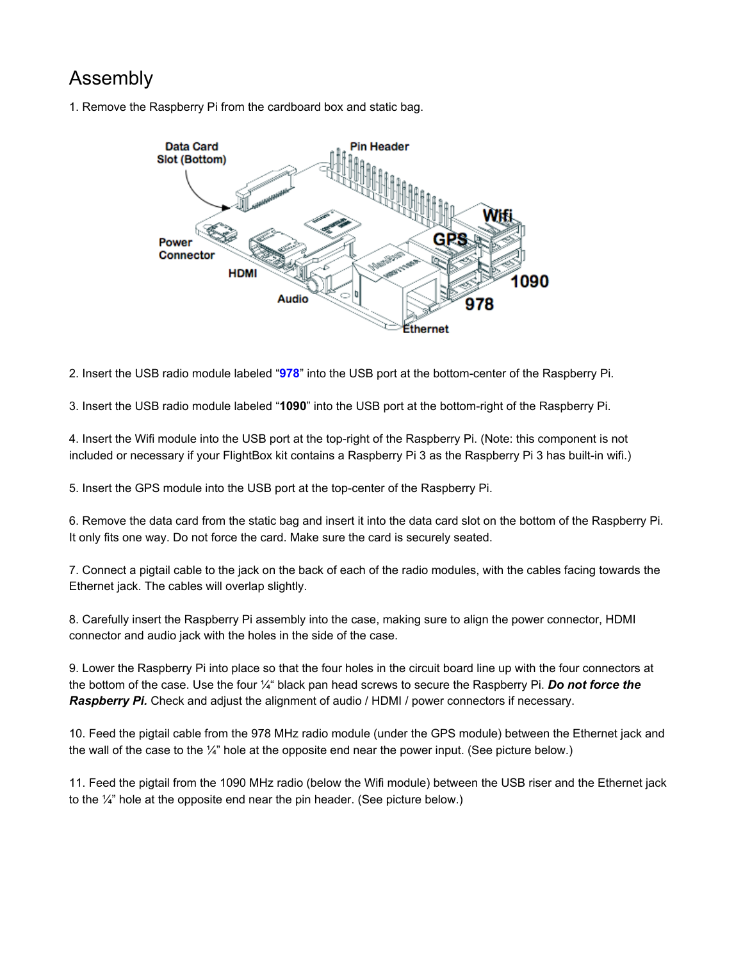### Assembly

1. Remove the Raspberry Pi from the cardboard box and static bag.



2. Insert the USB radio module labeled "978" into the USB port at the bottom-center of the Raspberry Pi.

3. Insert the USB radio module labeled "**1090**" into the USB port at the bottomright of the Raspberry Pi.

4. Insert the Wifi module into the USB port at the top-right of the Raspberry Pi. (Note: this component is not included or necessary if your FlightBox kit contains a Raspberry Pi 3 as the Raspberry Pi 3 has built-in wifi.)

5. Insert the GPS module into the USB port at the topcenter of the Raspberry Pi.

6. Remove the data card from the static bag and insert it into the data card slot on the bottom of the Raspberry Pi. It only fits one way. Do not force the card. Make sure the card is securely seated.

7. Connect a pigtail cable to the jack on the back of each of the radio modules, with the cables facing towards the Ethernet jack. The cables will overlap slightly.

8. Carefully insert the Raspberry Pi assembly into the case, making sure to align the power connector, HDMI connector and audio jack with the holes in the side of the case.

9. Lower the Raspberry Pi into place so that the four holes in the circuit board line up with the four connectors at the bottom of the case. Use the four ¼" black pan head screws to secure the Raspberry Pi. *Do not force the Raspberry Pi.* Check and adjust the alignment of audio / HDMI / power connectors if necessary.

10. Feed the pigtail cable from the 978 MHz radio module (under the GPS module) between the Ethernet jack and the wall of the case to the ¼" hole at the opposite end near the power input. (See picture below.)

11. Feed the pigtail from the 1090 MHz radio (below the Wifi module) between the USB riser and the Ethernet jack to the  $\frac{1}{4}$ " hole at the opposite end near the pin header. (See picture below.)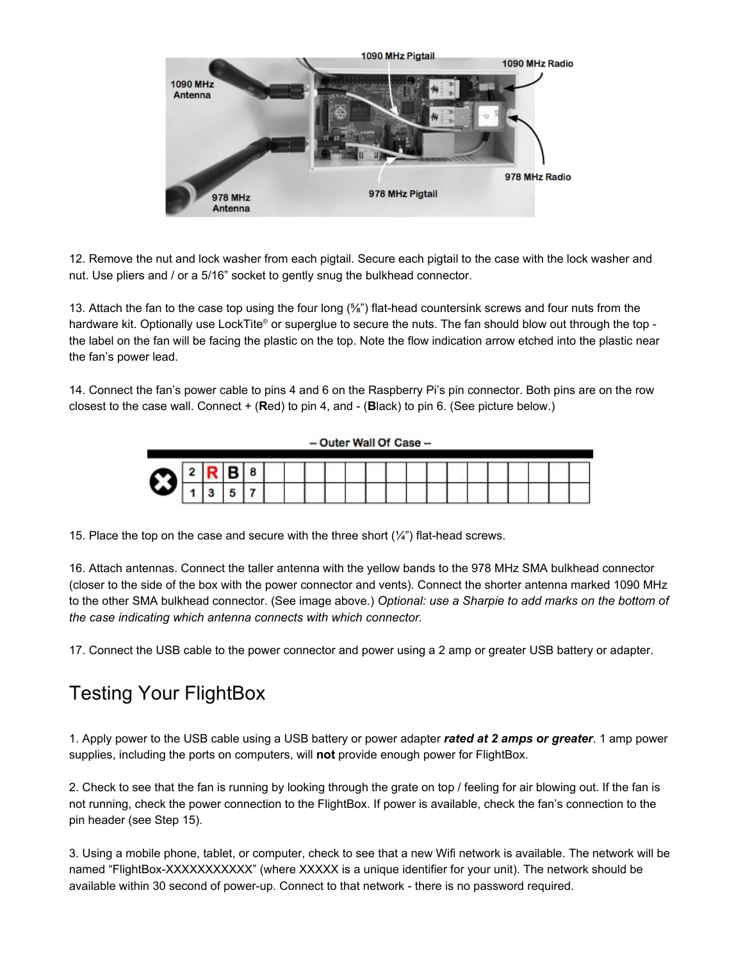

12. Remove the nut and lock washer from each pigtail. Secure each pigtail to the case with the lock washer and nut. Use pliers and / or a 5/16" socket to gently snug the bulkhead connector.

13. Attach the fan to the case top using the four long (<sup>5</sup>/<sub>8</sub>") flat-head countersink screws and four nuts from the hardware kit. Optionally use LockTite® or superglue to secure the nuts. The fan should blow out through the top the label on the fan will be facing the plastic on the top. Note the flow indication arrow etched into the plastic near the fan's power lead.

14. Connect the fan's power cable to pins 4 and 6 on the Raspberry Pi's pin connector. Both pins are on the row closest to the case wall. Connect + (**R**ed) to pin 4, and (**B**lack) to pin 6. (See picture below.)

- Outer Wall Of Case --

15. Place the top on the case and secure with the three short  $(\frac{1}{4})$  flat-head screws.

16. Attach antennas. Connect the taller antenna with the yellow bands to the 978 MHz SMA bulkhead connector (closer to the side of the box with the power connector and vents). Connect the shorter antenna marked 1090 MHz to the other SMA bulkhead connector. (See image above.) *Optional: use a Sharpie to add marks on the bottom of the case indicating which antenna connects with which connector.*

17. Connect the USB cable to the power connector and power using a 2 amp or greater USB battery or adapter.

### Testing Your FlightBox

1. Apply power to the USB cable using a USB battery or power adapter *rated at 2 amps or greater*. 1 amp power supplies, including the ports on computers, will not provide enough power for FlightBox.

2. Check to see that the fan is running by looking through the grate on top / feeling for air blowing out. If the fan is not running, check the power connection to the FlightBox. If power is available, check the fan's connection to the pin header (see Step 15).

3. Using a mobile phone, tablet, or computer, check to see that a new Wifi network is available. The network will be named "FlightBox-XXXXXXXXXXXX" (where XXXXX is a unique identifier for your unit). The network should be available within 30 second of power-up. Connect to that network - there is no password required.